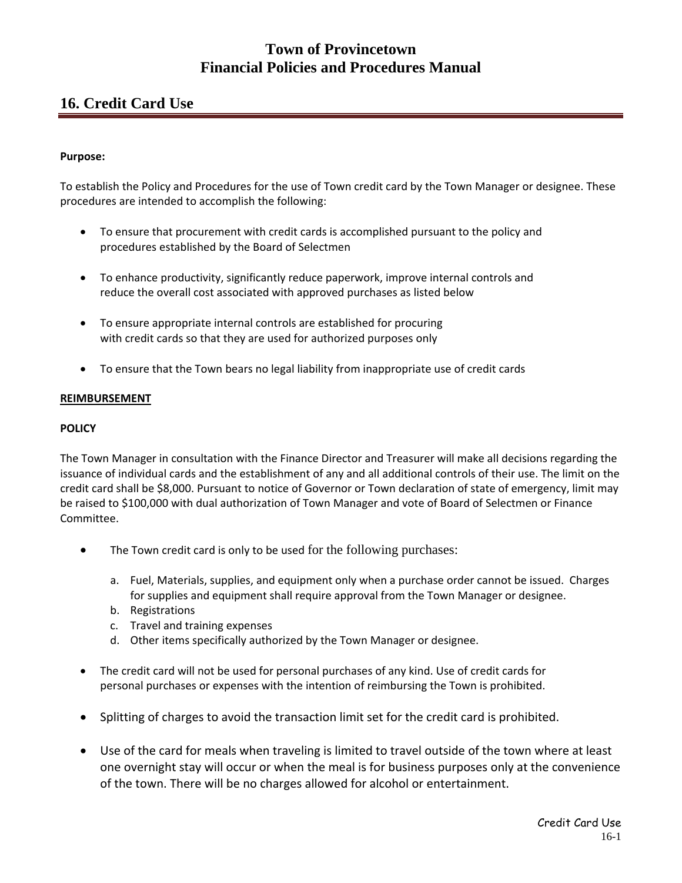# **Town of Provincetown Financial Policies and Procedures Manual**

# **16. Credit Card Use**

### **Purpose:**

To establish the Policy and Procedures for the use of Town credit card by the Town Manager or designee. These procedures are intended to accomplish the following:

- To ensure that procurement with credit cards is accomplished pursuant to the policy and procedures established by the Board of Selectmen
- To enhance productivity, significantly reduce paperwork, improve internal controls and reduce the overall cost associated with approved purchases as listed below
- To ensure appropriate internal controls are established for procuring with credit cards so that they are used for authorized purposes only
- To ensure that the Town bears no legal liability from inappropriate use of credit cards

#### **REIMBURSEMENT**

### **POLICY**

The Town Manager in consultation with the Finance Director and Treasurer will make all decisions regarding the issuance of individual cards and the establishment of any and all additional controls of their use. The limit on the credit card shall be \$8,000. Pursuant to notice of Governor or Town declaration of state of emergency, limit may be raised to \$100,000 with dual authorization of Town Manager and vote of Board of Selectmen or Finance Committee.

- The Town credit card is only to be used for the following purchases:
	- a. Fuel, Materials, supplies, and equipment only when a purchase order cannot be issued. Charges for supplies and equipment shall require approval from the Town Manager or designee.
	- b. Registrations
	- c. Travel and training expenses
	- d. Other items specifically authorized by the Town Manager or designee.
- The credit card will not be used for personal purchases of any kind. Use of credit cards for personal purchases or expenses with the intention of reimbursing the Town is prohibited.
- Splitting of charges to avoid the transaction limit set for the credit card is prohibited.
- Use of the card for meals when traveling is limited to travel outside of the town where at least one overnight stay will occur or when the meal is for business purposes only at the convenience of the town. There will be no charges allowed for alcohol or entertainment.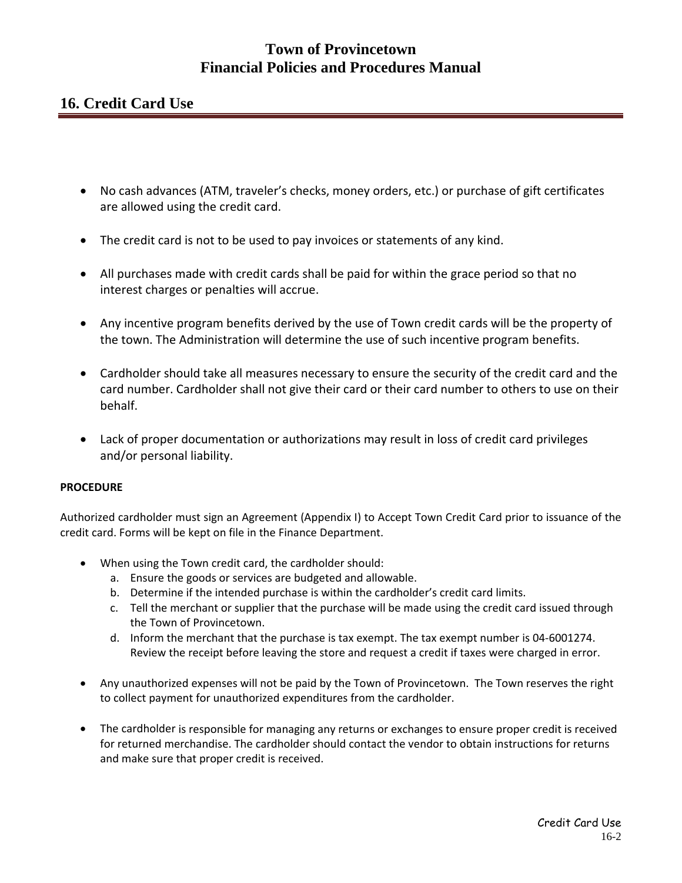# **Town of Provincetown Financial Policies and Procedures Manual**

# **16. Credit Card Use**

- No cash advances (ATM, traveler's checks, money orders, etc.) or purchase of gift certificates are allowed using the credit card.
- The credit card is not to be used to pay invoices or statements of any kind.
- All purchases made with credit cards shall be paid for within the grace period so that no interest charges or penalties will accrue.
- Any incentive program benefits derived by the use of Town credit cards will be the property of the town. The Administration will determine the use of such incentive program benefits.
- Cardholder should take all measures necessary to ensure the security of the credit card and the card number. Cardholder shall not give their card or their card number to others to use on their behalf.
- Lack of proper documentation or authorizations may result in loss of credit card privileges and/or personal liability.

### **PROCEDURE**

Authorized cardholder must sign an Agreement (Appendix I) to Accept Town Credit Card prior to issuance of the credit card. Forms will be kept on file in the Finance Department.

- When using the Town credit card, the cardholder should:
	- a. Ensure the goods or services are budgeted and allowable.
	- b. Determine if the intended purchase is within the cardholder's credit card limits.
	- c. Tell the merchant or supplier that the purchase will be made using the credit card issued through the Town of Provincetown.
	- d. Inform the merchant that the purchase is tax exempt. The tax exempt number is 04‐6001274. Review the receipt before leaving the store and request a credit if taxes were charged in error.
- Any unauthorized expenses will not be paid by the Town of Provincetown. The Town reserves the right to collect payment for unauthorized expenditures from the cardholder.
- The cardholder is responsible for managing any returns or exchanges to ensure proper credit is received for returned merchandise. The cardholder should contact the vendor to obtain instructions for returns and make sure that proper credit is received.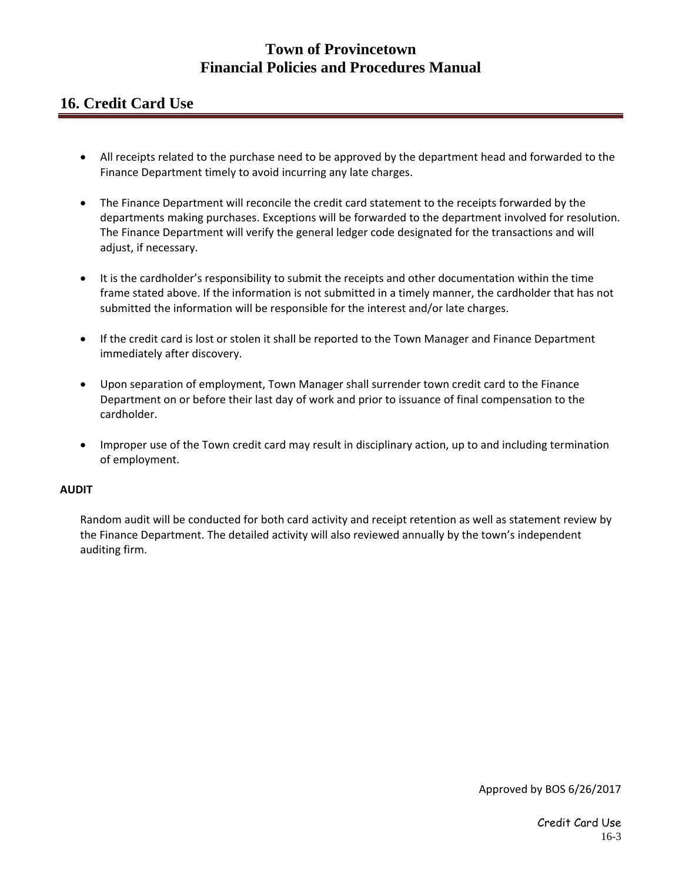# **Town of Provincetown Financial Policies and Procedures Manual**

# **16. Credit Card Use**

- All receipts related to the purchase need to be approved by the department head and forwarded to the Finance Department timely to avoid incurring any late charges.
- The Finance Department will reconcile the credit card statement to the receipts forwarded by the departments making purchases. Exceptions will be forwarded to the department involved for resolution. The Finance Department will verify the general ledger code designated for the transactions and will adjust, if necessary.
- It is the cardholder's responsibility to submit the receipts and other documentation within the time frame stated above. If the information is not submitted in a timely manner, the cardholder that has not submitted the information will be responsible for the interest and/or late charges.
- If the credit card is lost or stolen it shall be reported to the Town Manager and Finance Department immediately after discovery.
- Upon separation of employment, Town Manager shall surrender town credit card to the Finance Department on or before their last day of work and prior to issuance of final compensation to the cardholder.
- Improper use of the Town credit card may result in disciplinary action, up to and including termination of employment.

### **AUDIT**

Random audit will be conducted for both card activity and receipt retention as well as statement review by the Finance Department. The detailed activity will also reviewed annually by the town's independent auditing firm.

Approved by BOS 6/26/2017

Credit Card Use 16-3